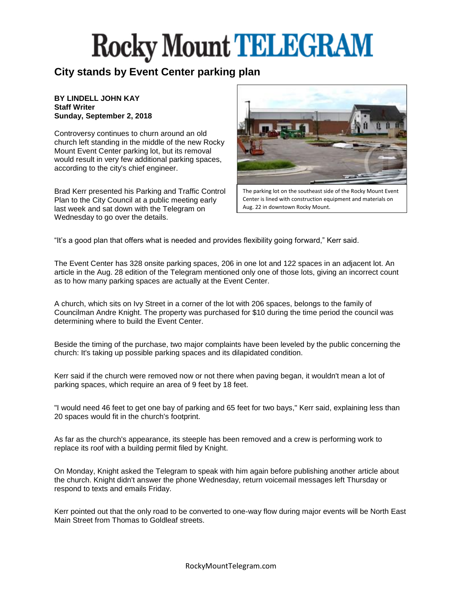#### **City stands by Event Center parking plan**

#### **BY LINDELL JOHN KAY Staff Writer Sunday, September 2, 2018**

Controversy continues to churn around an old church left standing in the middle of the new Rocky Mount Event Center parking lot, but its removal would result in very few additional parking spaces, according to the city's chief engineer.

Brad Kerr presented his Parking and Traffic Control Plan to the City Council at a public meeting early last week and sat down with the Telegram on Wednesday to go over the details.



The parking lot on the southeast side of the Rocky Mount Event Center is lined with construction equipment and materials on Aug. 22 in downtown Rocky Mount.

"It's a good plan that offers what is needed and provides flexibility going forward," Kerr said.

The Event Center has 328 onsite parking spaces, 206 in one lot and 122 spaces in an adjacent lot. An article in the Aug. 28 edition of the Telegram mentioned only one of those lots, giving an incorrect count as to how many parking spaces are actually at the Event Center.

A church, which sits on Ivy Street in a corner of the lot with 206 spaces, belongs to the family of Councilman Andre Knight. The property was purchased for \$10 during the time period the council was determining where to build the Event Center.

Beside the timing of the purchase, two major complaints have been leveled by the public concerning the church: It's taking up possible parking spaces and its dilapidated condition.

Kerr said if the church were removed now or not there when paving began, it wouldn't mean a lot of parking spaces, which require an area of 9 feet by 18 feet.

"I would need 46 feet to get one bay of parking and 65 feet for two bays," Kerr said, explaining less than 20 spaces would fit in the church's footprint.

As far as the church's appearance, its steeple has been removed and a crew is performing work to replace its roof with a building permit filed by Knight.

On Monday, Knight asked the Telegram to speak with him again before publishing another article about the church. Knight didn't answer the phone Wednesday, return voicemail messages left Thursday or respond to texts and emails Friday.

Kerr pointed out that the only road to be converted to one-way flow during major events will be North East Main Street from Thomas to Goldleaf streets.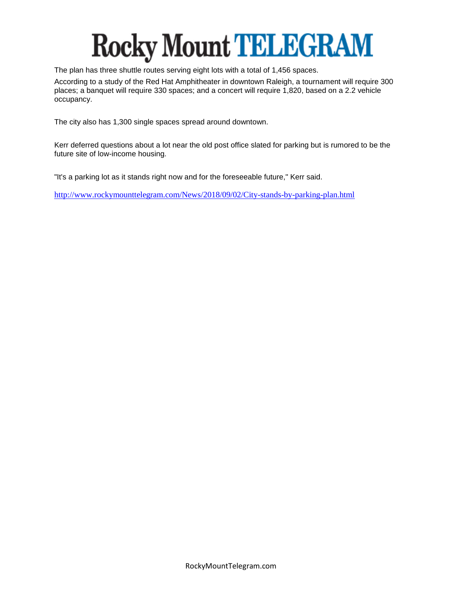The plan has three shuttle routes serving eight lots with a total of 1,456 spaces.

According to a study of the Red Hat Amphitheater in downtown Raleigh, a tournament will require 300 places; a banquet will require 330 spaces; and a concert will require 1,820, based on a 2.2 vehicle occupancy.

The city also has 1,300 single spaces spread around downtown.

Kerr deferred questions about a lot near the old post office slated for parking but is rumored to be the future site of low-income housing.

"It's a parking lot as it stands right now and for the foreseeable future," Kerr said.

<http://www.rockymounttelegram.com/News/2018/09/02/City-stands-by-parking-plan.html>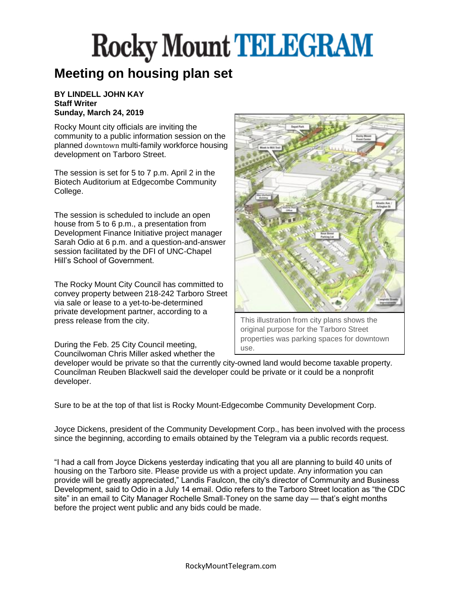#### **Meeting on housing plan set**

#### **BY LINDELL JOHN KAY Staff Writer Sunday, March 24, 2019**

Rocky Mount city officials are inviting the community to a public information session on the planned downtown multi-family workforce housing development on Tarboro Street.

The session is set for 5 to 7 p.m. April 2 in the Biotech Auditorium at Edgecombe Community College.

The session is scheduled to include an open house from 5 to 6 p.m., a presentation from Development Finance Initiative project manager Sarah Odio at 6 p.m. and a question-and-answer session facilitated by the DFI of UNC-Chapel Hill's School of Government.

The Rocky Mount City Council has committed to convey property between 218-242 Tarboro Street via sale or lease to a yet-to-be-determined private development partner, according to a press release from the city.

During the Feb. 25 City Council meeting, Councilwoman Chris Miller asked whether the



This illustration from city plans shows the original purpose for the Tarboro Street properties was parking spaces for downtown use.

developer would be private so that the currently city-owned land would become taxable property. Councilman Reuben Blackwell said the developer could be private or it could be a nonprofit developer.

Sure to be at the top of that list is Rocky Mount-Edgecombe Community Development Corp.

Joyce Dickens, president of the Community Development Corp., has been involved with the process since the beginning, according to emails obtained by the Telegram via a public records request.

"I had a call from Joyce Dickens yesterday indicating that you all are planning to build 40 units of housing on the Tarboro site. Please provide us with a project update. Any information you can provide will be greatly appreciated," Landis Faulcon, the city's director of Community and Business Development, said to Odio in a July 14 email. Odio refers to the Tarboro Street location as "the CDC site" in an email to City Manager Rochelle Small-Toney on the same day — that's eight months before the project went public and any bids could be made.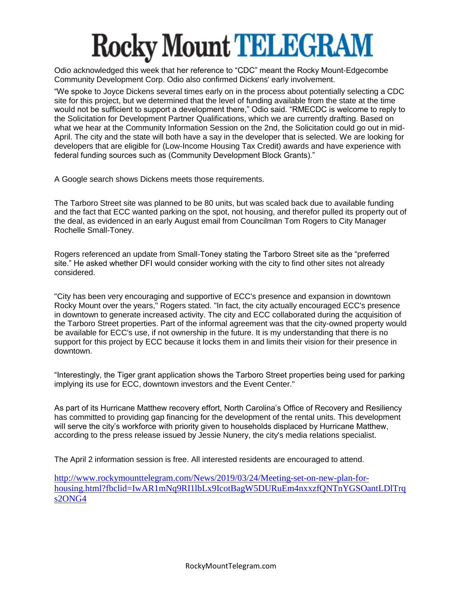Odio acknowledged this week that her reference to "CDC" meant the Rocky Mount-Edgecombe Community Development Corp. Odio also confirmed Dickens' early involvement.

"We spoke to Joyce Dickens several times early on in the process about potentially selecting a CDC site for this project, but we determined that the level of funding available from the state at the time would not be sufficient to support a development there," Odio said. "RMECDC is welcome to reply to the Solicitation for Development Partner Qualifications, which we are currently drafting. Based on what we hear at the Community Information Session on the 2nd, the Solicitation could go out in mid-April. The city and the state will both have a say in the developer that is selected. We are looking for developers that are eligible for (Low-Income Housing Tax Credit) awards and have experience with federal funding sources such as (Community Development Block Grants)."

A Google search shows Dickens meets those requirements.

The Tarboro Street site was planned to be 80 units, but was scaled back due to available funding and the fact that ECC wanted parking on the spot, not housing, and therefor pulled its property out of the deal, as evidenced in an early August email from Councilman Tom Rogers to City Manager Rochelle Small-Toney.

Rogers referenced an update from Small-Toney stating the Tarboro Street site as the "preferred site." He asked whether DFI would consider working with the city to find other sites not already considered.

"City has been very encouraging and supportive of ECC's presence and expansion in downtown Rocky Mount over the years," Rogers stated. "In fact, the city actually encouraged ECC's presence in downtown to generate increased activity. The city and ECC collaborated during the acquisition of the Tarboro Street properties. Part of the informal agreement was that the city-owned property would be available for ECC's use, if not ownership in the future. It is my understanding that there is no support for this project by ECC because it locks them in and limits their vision for their presence in downtown.

"Interestingly, the Tiger grant application shows the Tarboro Street properties being used for parking implying its use for ECC, downtown investors and the Event Center."

As part of its Hurricane Matthew recovery effort, North Carolina's Office of Recovery and Resiliency has committed to providing gap financing for the development of the rental units. This development will serve the city's workforce with priority given to households displaced by Hurricane Matthew, according to the press release issued by Jessie Nunery, the city's media relations specialist.

The April 2 information session is free. All interested residents are encouraged to attend.

[http://www.rockymounttelegram.com/News/2019/03/24/Meeting-set-on-new-plan-for](http://www.rockymounttelegram.com/News/2019/03/24/Meeting-set-on-new-plan-for-housing.html?fbclid=IwAR1mNq9RI1lbLx9IcotBagW5DURuEm4nxxzfQNTnYGSOantLDlTrqs2ONG4)[housing.html?fbclid=IwAR1mNq9RI1lbLx9IcotBagW5DURuEm4nxxzfQNTnYGSOantLDlTrq](http://www.rockymounttelegram.com/News/2019/03/24/Meeting-set-on-new-plan-for-housing.html?fbclid=IwAR1mNq9RI1lbLx9IcotBagW5DURuEm4nxxzfQNTnYGSOantLDlTrqs2ONG4) [s2ONG4](http://www.rockymounttelegram.com/News/2019/03/24/Meeting-set-on-new-plan-for-housing.html?fbclid=IwAR1mNq9RI1lbLx9IcotBagW5DURuEm4nxxzfQNTnYGSOantLDlTrqs2ONG4)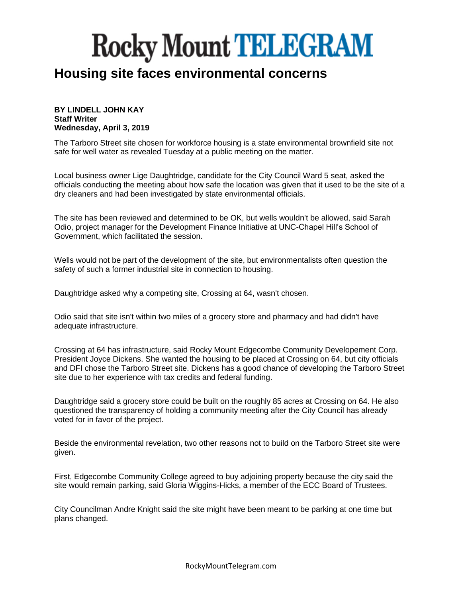#### **Housing site faces environmental concerns**

#### **BY LINDELL JOHN KAY Staff Writer Wednesday, April 3, 2019**

The Tarboro Street site chosen for workforce housing is a state environmental brownfield site not safe for well water as revealed Tuesday at a public meeting on the matter.

Local business owner Lige Daughtridge, candidate for the City Council Ward 5 seat, asked the officials conducting the meeting about how safe the location was given that it used to be the site of a dry cleaners and had been investigated by state environmental officials.

The site has been reviewed and determined to be OK, but wells wouldn't be allowed, said Sarah Odio, project manager for the Development Finance Initiative at UNC-Chapel Hill's School of Government, which facilitated the session.

Wells would not be part of the development of the site, but environmentalists often question the safety of such a former industrial site in connection to housing.

Daughtridge asked why a competing site, Crossing at 64, wasn't chosen.

Odio said that site isn't within two miles of a grocery store and pharmacy and had didn't have adequate infrastructure.

Crossing at 64 has infrastructure, said Rocky Mount Edgecombe Community Developement Corp. President Joyce Dickens. She wanted the housing to be placed at Crossing on 64, but city officials and DFI chose the Tarboro Street site. Dickens has a good chance of developing the Tarboro Street site due to her experience with tax credits and federal funding.

Daughtridge said a grocery store could be built on the roughly 85 acres at Crossing on 64. He also questioned the transparency of holding a community meeting after the City Council has already voted for in favor of the project.

Beside the environmental revelation, two other reasons not to build on the Tarboro Street site were given.

First, Edgecombe Community College agreed to buy adjoining property because the city said the site would remain parking, said Gloria Wiggins-Hicks, a member of the ECC Board of Trustees.

City Councilman Andre Knight said the site might have been meant to be parking at one time but plans changed.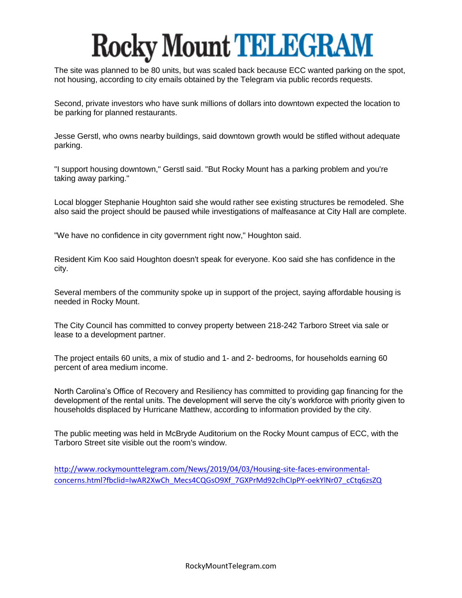The site was planned to be 80 units, but was scaled back because ECC wanted parking on the spot, not housing, according to city emails obtained by the Telegram via public records requests.

Second, private investors who have sunk millions of dollars into downtown expected the location to be parking for planned restaurants.

Jesse Gerstl, who owns nearby buildings, said downtown growth would be stifled without adequate parking.

"I support housing downtown," Gerstl said. "But Rocky Mount has a parking problem and you're taking away parking."

Local blogger Stephanie Houghton said she would rather see existing structures be remodeled. She also said the project should be paused while investigations of malfeasance at City Hall are complete.

"We have no confidence in city government right now," Houghton said.

Resident Kim Koo said Houghton doesn't speak for everyone. Koo said she has confidence in the city.

Several members of the community spoke up in support of the project, saying affordable housing is needed in Rocky Mount.

The City Council has committed to convey property between 218-242 Tarboro Street via sale or lease to a development partner.

The project entails 60 units, a mix of studio and 1- and 2- bedrooms, for households earning 60 percent of area medium income.

North Carolina's Office of Recovery and Resiliency has committed to providing gap financing for the development of the rental units. The development will serve the city's workforce with priority given to households displaced by Hurricane Matthew, according to information provided by the city.

The public meeting was held in McBryde Auditorium on the Rocky Mount campus of ECC, with the Tarboro Street site visible out the room's window.

[http://www.rockymounttelegram.com/News/2019/04/03/Housing-site-faces-environmental](http://www.rockymounttelegram.com/News/2019/04/03/Housing-site-faces-environmental-concerns.html?fbclid=IwAR2XwCh_Mecs4CQGsO9Xf_7GXPrMd92clhCIpPY-oekYlNr07_cCtq6zsZQ)[concerns.html?fbclid=IwAR2XwCh\\_Mecs4CQGsO9Xf\\_7GXPrMd92clhCIpPY-oekYlNr07\\_cCtq6zsZQ](http://www.rockymounttelegram.com/News/2019/04/03/Housing-site-faces-environmental-concerns.html?fbclid=IwAR2XwCh_Mecs4CQGsO9Xf_7GXPrMd92clhCIpPY-oekYlNr07_cCtq6zsZQ)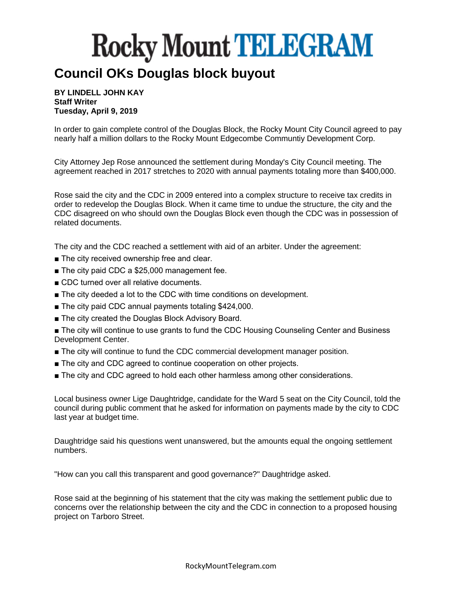#### **Council OKs Douglas block buyout**

**BY LINDELL JOHN KAY Staff Writer Tuesday, April 9, 2019**

In order to gain complete control of the Douglas Block, the Rocky Mount City Council agreed to pay nearly half a million dollars to the Rocky Mount Edgecombe Communtiy Development Corp.

City Attorney Jep Rose announced the settlement during Monday's City Council meeting. The agreement reached in 2017 stretches to 2020 with annual payments totaling more than \$400,000.

Rose said the city and the CDC in 2009 entered into a complex structure to receive tax credits in order to redevelop the Douglas Block. When it came time to undue the structure, the city and the CDC disagreed on who should own the Douglas Block even though the CDC was in possession of related documents.

The city and the CDC reached a settlement with aid of an arbiter. Under the agreement:

- The city received ownership free and clear.
- The city paid CDC a \$25,000 management fee.
- CDC turned over all relative documents.
- The city deeded a lot to the CDC with time conditions on development.
- The city paid CDC annual payments totaling \$424,000.
- The city created the Douglas Block Advisory Board.

■ The city will continue to use grants to fund the CDC Housing Counseling Center and Business Development Center.

- The city will continue to fund the CDC commercial development manager position.
- The city and CDC agreed to continue cooperation on other projects.
- The city and CDC agreed to hold each other harmless among other considerations.

Local business owner Lige Daughtridge, candidate for the Ward 5 seat on the City Council, told the council during public comment that he asked for information on payments made by the city to CDC last year at budget time.

Daughtridge said his questions went unanswered, but the amounts equal the ongoing settlement numbers.

"How can you call this transparent and good governance?" Daughtridge asked.

Rose said at the beginning of his statement that the city was making the settlement public due to concerns over the relationship between the city and the CDC in connection to a proposed housing project on Tarboro Street.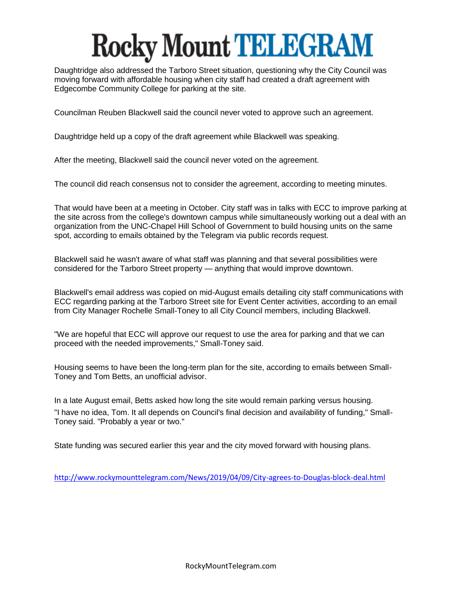Daughtridge also addressed the Tarboro Street situation, questioning why the City Council was moving forward with affordable housing when city staff had created a draft agreement with Edgecombe Community College for parking at the site.

Councilman Reuben Blackwell said the council never voted to approve such an agreement.

Daughtridge held up a copy of the draft agreement while Blackwell was speaking.

After the meeting, Blackwell said the council never voted on the agreement.

The council did reach consensus not to consider the agreement, according to meeting minutes.

That would have been at a meeting in October. City staff was in talks with ECC to improve parking at the site across from the college's downtown campus while simultaneously working out a deal with an organization from the UNC-Chapel Hill School of Government to build housing units on the same spot, according to emails obtained by the Telegram via public records request.

Blackwell said he wasn't aware of what staff was planning and that several possibilities were considered for the Tarboro Street property — anything that would improve downtown.

Blackwell's email address was copied on mid-August emails detailing city staff communications with ECC regarding parking at the Tarboro Street site for Event Center activities, according to an email from City Manager Rochelle Small-Toney to all City Council members, including Blackwell.

"We are hopeful that ECC will approve our request to use the area for parking and that we can proceed with the needed improvements," Small-Toney said.

Housing seems to have been the long-term plan for the site, according to emails between Small-Toney and Tom Betts, an unofficial advisor.

In a late August email, Betts asked how long the site would remain parking versus housing. "I have no idea, Tom. It all depends on Council's final decision and availability of funding," Small-Toney said. "Probably a year or two."

State funding was secured earlier this year and the city moved forward with housing plans.

<http://www.rockymounttelegram.com/News/2019/04/09/City-agrees-to-Douglas-block-deal.html>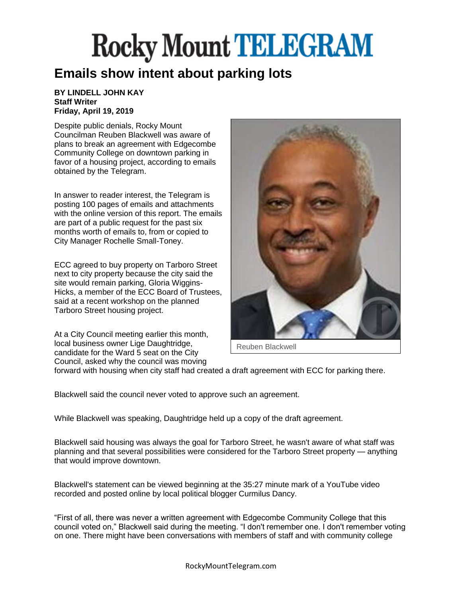#### **Emails show intent about parking lots**

#### **BY LINDELL JOHN KAY Staff Writer Friday, April 19, 2019**

Despite public denials, Rocky Mount Councilman Reuben Blackwell was aware of plans to break an agreement with Edgecombe Community College on downtown parking in favor of a housing project, according to emails obtained by the Telegram.

In answer to reader interest, the Telegram is posting 100 pages of emails and attachments with the online version of this report. The emails are part of a public request for the past six months worth of emails to, from or copied to City Manager Rochelle Small-Toney.

ECC agreed to buy property on Tarboro Street next to city property because the city said the site would remain parking, Gloria Wiggins-Hicks, a member of the ECC Board of Trustees, said at a recent workshop on the planned Tarboro Street housing project.

At a City Council meeting earlier this month, local business owner Lige Daughtridge, candidate for the Ward 5 seat on the City Council, asked why the council was moving



Reuben Blackwell

forward with housing when city staff had created a draft agreement with ECC for parking there.

Blackwell said the council never voted to approve such an agreement.

While Blackwell was speaking, Daughtridge held up a copy of the draft agreement.

Blackwell said housing was always the goal for Tarboro Street, he wasn't aware of what staff was planning and that several possibilities were considered for the Tarboro Street property — anything that would improve downtown.

Blackwell's statement can be viewed beginning at the 35:27 minute mark of a YouTube video recorded and posted online by local political blogger Curmilus Dancy.

"First of all, there was never a written agreement with Edgecombe Community College that this council voted on," Blackwell said during the meeting. "I don't remember one. I don't remember voting on one. There might have been conversations with members of staff and with community college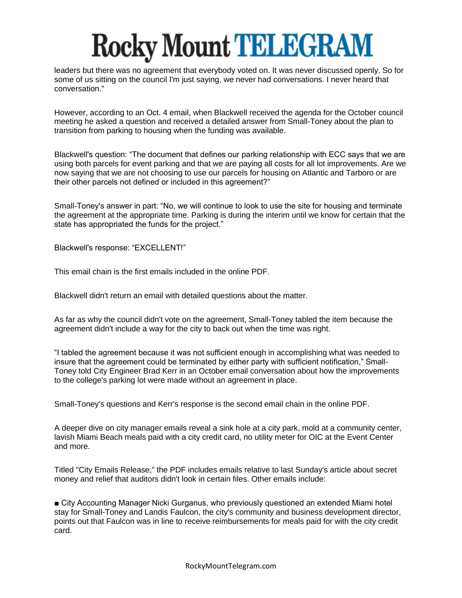leaders but there was no agreement that everybody voted on. It was never discussed openly. So for some of us sitting on the council I'm just saying, we never had conversations. I never heard that conversation."

However, according to an Oct. 4 email, when Blackwell received the agenda for the October council meeting he asked a question and received a detailed answer from Small-Toney about the plan to transition from parking to housing when the funding was available.

Blackwell's question: "The document that defines our parking relationship with ECC says that we are using both parcels for event parking and that we are paying all costs for all lot improvements. Are we now saying that we are not choosing to use our parcels for housing on Atlantic and Tarboro or are their other parcels not defined or included in this agreement?"

Small-Toney's answer in part: "No, we will continue to look to use the site for housing and terminate the agreement at the appropriate time. Parking is during the interim until we know for certain that the state has appropriated the funds for the project."

Blackwell's response: "EXCELLENT!"

This email chain is the first emails included in the online PDF.

Blackwell didn't return an email with detailed questions about the matter.

As far as why the council didn't vote on the agreement, Small-Toney tabled the item because the agreement didn't include a way for the city to back out when the time was right.

"I tabled the agreement because it was not sufficient enough in accomplishing what was needed to insure that the agreement could be terminated by either party with sufficient notification," Small-Toney told City Engineer Brad Kerr in an October email conversation about how the improvements to the college's parking lot were made without an agreement in place.

Small-Toney's questions and Kerr's response is the second email chain in the online PDF.

A deeper dive on city manager emails reveal a sink hole at a city park, mold at a community center, lavish Miami Beach meals paid with a city credit card, no utility meter for OIC at the Event Center and more.

Titled "City Emails Release," the PDF includes emails relative to last Sunday's article about secret money and relief that auditors didn't look in certain files. Other emails include:

■ City Accounting Manager Nicki Gurganus, who previously questioned an extended Miami hotel stay for Small-Toney and Landis Faulcon, the city's community and business development director, points out that Faulcon was in line to receive reimbursements for meals paid for with the city credit card.

RockyMountTelegram.com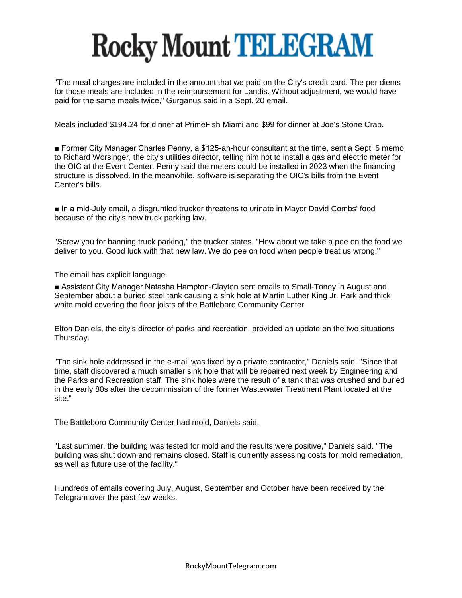"The meal charges are included in the amount that we paid on the City's credit card. The per diems for those meals are included in the reimbursement for Landis. Without adjustment, we would have paid for the same meals twice," Gurganus said in a Sept. 20 email.

Meals included \$194.24 for dinner at PrimeFish Miami and \$99 for dinner at Joe's Stone Crab.

■ Former City Manager Charles Penny, a \$125-an-hour consultant at the time, sent a Sept. 5 memo to Richard Worsinger, the city's utilities director, telling him not to install a gas and electric meter for the OIC at the Event Center. Penny said the meters could be installed in 2023 when the financing structure is dissolved. In the meanwhile, software is separating the OIC's bills from the Event Center's bills.

■ In a mid-July email, a disgruntled trucker threatens to urinate in Mayor David Combs' food because of the city's new truck parking law.

"Screw you for banning truck parking," the trucker states. "How about we take a pee on the food we deliver to you. Good luck with that new law. We do pee on food when people treat us wrong."

The email has explicit language.

■ Assistant City Manager Natasha Hampton-Clayton sent emails to Small-Toney in August and September about a buried steel tank causing a sink hole at Martin Luther King Jr. Park and thick white mold covering the floor joists of the Battleboro Community Center.

Elton Daniels, the city's director of parks and recreation, provided an update on the two situations Thursday.

"The sink hole addressed in the e-mail was fixed by a private contractor," Daniels said. "Since that time, staff discovered a much smaller sink hole that will be repaired next week by Engineering and the Parks and Recreation staff. The sink holes were the result of a tank that was crushed and buried in the early 80s after the decommission of the former Wastewater Treatment Plant located at the site."

The Battleboro Community Center had mold, Daniels said.

"Last summer, the building was tested for mold and the results were positive," Daniels said. "The building was shut down and remains closed. Staff is currently assessing costs for mold remediation, as well as future use of the facility."

Hundreds of emails covering July, August, September and October have been received by the Telegram over the past few weeks.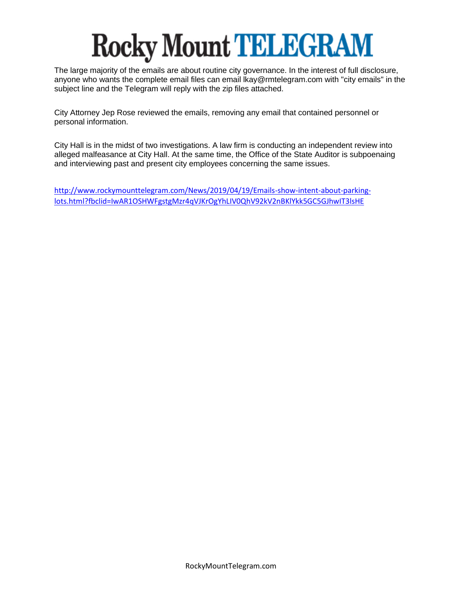The large majority of the emails are about routine city governance. In the interest of full disclosure, anyone who wants the complete email files can email lkay@rmtelegram.com with "city emails" in the subject line and the Telegram will reply with the zip files attached.

City Attorney Jep Rose reviewed the emails, removing any email that contained personnel or personal information.

City Hall is in the midst of two investigations. A law firm is conducting an independent review into alleged malfeasance at City Hall. At the same time, the Office of the State Auditor is subpoenaing and interviewing past and present city employees concerning the same issues.

[http://www.rockymounttelegram.com/News/2019/04/19/Emails-show-intent-about-parking](http://www.rockymounttelegram.com/News/2019/04/19/Emails-show-intent-about-parking-lots.html?fbclid=IwAR1OSHWFgstgMzr4qVJKrOgYhLIV0QhV92kV2nBKlYkk5GC5GJhwIT3lsHE)[lots.html?fbclid=IwAR1OSHWFgstgMzr4qVJKrOgYhLIV0QhV92kV2nBKlYkk5GC5GJhwIT3lsHE](http://www.rockymounttelegram.com/News/2019/04/19/Emails-show-intent-about-parking-lots.html?fbclid=IwAR1OSHWFgstgMzr4qVJKrOgYhLIV0QhV92kV2nBKlYkk5GC5GJhwIT3lsHE)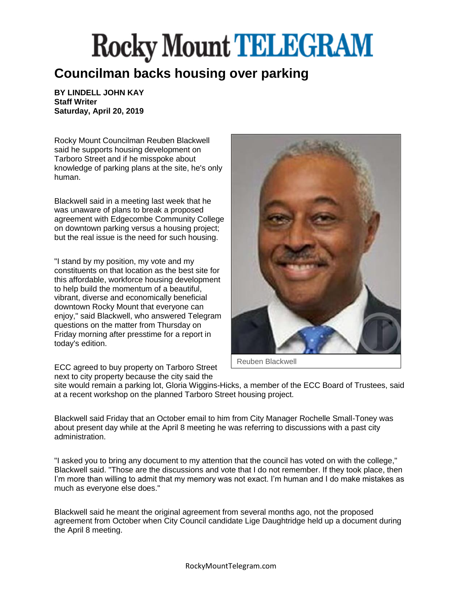#### **Councilman backs housing over parking**

**BY LINDELL JOHN KAY Staff Writer Saturday, April 20, 2019**

Rocky Mount Councilman Reuben Blackwell said he supports housing development on Tarboro Street and if he misspoke about knowledge of parking plans at the site, he's only human.

Blackwell said in a meeting last week that he was unaware of plans to break a proposed agreement with Edgecombe Community College on downtown parking versus a housing project; but the real issue is the need for such housing.

"I stand by my position, my vote and my constituents on that location as the best site for this affordable, workforce housing development to help build the momentum of a beautiful, vibrant, diverse and economically beneficial downtown Rocky Mount that everyone can enjoy," said Blackwell, who answered Telegram questions on the matter from Thursday on Friday morning after presstime for a report in today's edition.

ECC agreed to buy property on Tarboro Street next to city property because the city said the



Reuben Blackwell

site would remain a parking lot, Gloria Wiggins-Hicks, a member of the ECC Board of Trustees, said at a recent workshop on the planned Tarboro Street housing project.

Blackwell said Friday that an October email to him from City Manager Rochelle Small-Toney was about present day while at the April 8 meeting he was referring to discussions with a past city administration.

"I asked you to bring any document to my attention that the council has voted on with the college," Blackwell said. "Those are the discussions and vote that I do not remember. If they took place, then I'm more than willing to admit that my memory was not exact. I'm human and I do make mistakes as much as everyone else does."

Blackwell said he meant the original agreement from several months ago, not the proposed agreement from October when City Council candidate Lige Daughtridge held up a document during the April 8 meeting.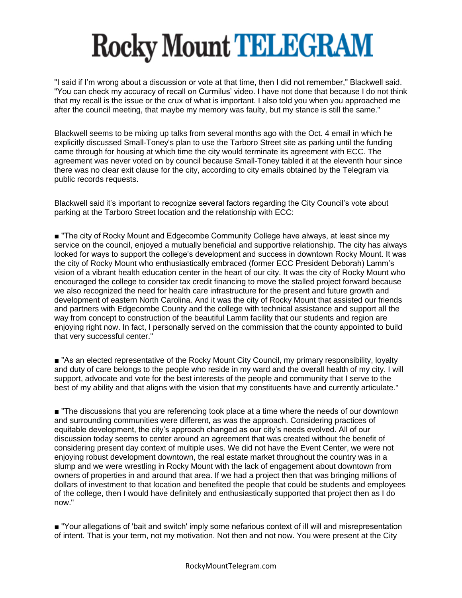"I said if I'm wrong about a discussion or vote at that time, then I did not remember," Blackwell said. "You can check my accuracy of recall on Curmilus' video. I have not done that because I do not think that my recall is the issue or the crux of what is important. I also told you when you approached me after the council meeting, that maybe my memory was faulty, but my stance is still the same."

Blackwell seems to be mixing up talks from several months ago with the Oct. 4 email in which he explicitly discussed Small-Toney's plan to use the Tarboro Street site as parking until the funding came through for housing at which time the city would terminate its agreement with ECC. The agreement was never voted on by council because Small-Toney tabled it at the eleventh hour since there was no clear exit clause for the city, according to city emails obtained by the Telegram via public records requests.

Blackwell said it's important to recognize several factors regarding the City Council's vote about parking at the Tarboro Street location and the relationship with ECC:

■ "The city of Rocky Mount and Edgecombe Community College have always, at least since my service on the council, enjoyed a mutually beneficial and supportive relationship. The city has always looked for ways to support the college's development and success in downtown Rocky Mount. It was the city of Rocky Mount who enthusiastically embraced (former ECC President Deborah) Lamm's vision of a vibrant health education center in the heart of our city. It was the city of Rocky Mount who encouraged the college to consider tax credit financing to move the stalled project forward because we also recognized the need for health care infrastructure for the present and future growth and development of eastern North Carolina. And it was the city of Rocky Mount that assisted our friends and partners with Edgecombe County and the college with technical assistance and support all the way from concept to construction of the beautiful Lamm facility that our students and region are enjoying right now. In fact, I personally served on the commission that the county appointed to build that very successful center."

■ "As an elected representative of the Rocky Mount City Council, my primary responsibility, loyalty and duty of care belongs to the people who reside in my ward and the overall health of my city. I will support, advocate and vote for the best interests of the people and community that I serve to the best of my ability and that aligns with the vision that my constituents have and currently articulate."

■ "The discussions that you are referencing took place at a time where the needs of our downtown and surrounding communities were different, as was the approach. Considering practices of equitable development, the city's approach changed as our city's needs evolved. All of our discussion today seems to center around an agreement that was created without the benefit of considering present day context of multiple uses. We did not have the Event Center, we were not enjoying robust development downtown, the real estate market throughout the country was in a slump and we were wrestling in Rocky Mount with the lack of engagement about downtown from owners of properties in and around that area. If we had a project then that was bringing millions of dollars of investment to that location and benefited the people that could be students and employees of the college, then I would have definitely and enthusiastically supported that project then as I do now."

■ "Your allegations of 'bait and switch' imply some nefarious context of ill will and misrepresentation of intent. That is your term, not my motivation. Not then and not now. You were present at the City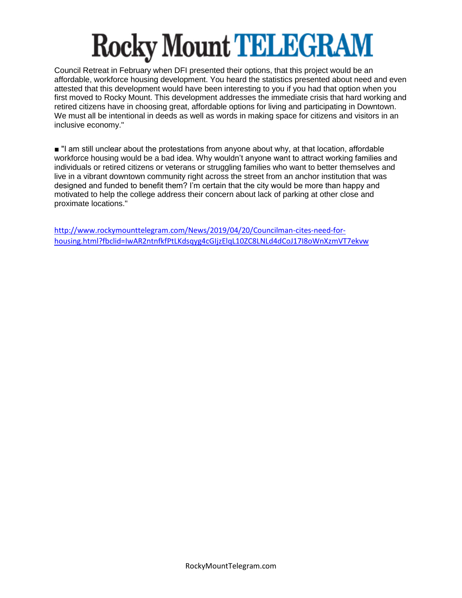Council Retreat in February when DFI presented their options, that this project would be an affordable, workforce housing development. You heard the statistics presented about need and even attested that this development would have been interesting to you if you had that option when you first moved to Rocky Mount. This development addresses the immediate crisis that hard working and retired citizens have in choosing great, affordable options for living and participating in Downtown. We must all be intentional in deeds as well as words in making space for citizens and visitors in an inclusive economy."

■ "I am still unclear about the protestations from anyone about why, at that location, affordable workforce housing would be a bad idea. Why wouldn't anyone want to attract working families and individuals or retired citizens or veterans or struggling families who want to better themselves and live in a vibrant downtown community right across the street from an anchor institution that was designed and funded to benefit them? I'm certain that the city would be more than happy and motivated to help the college address their concern about lack of parking at other close and proximate locations."

[http://www.rockymounttelegram.com/News/2019/04/20/Councilman-cites-need-for](http://www.rockymounttelegram.com/News/2019/04/20/Councilman-cites-need-for-housing.html?fbclid=IwAR2ntnfkfPtLKdsqyg4cGIjzElqL10ZC8LNLd4dCoJ17I8oWnXzmVT7ekvw)[housing.html?fbclid=IwAR2ntnfkfPtLKdsqyg4cGIjzElqL10ZC8LNLd4dCoJ17I8oWnXzmVT7ekvw](http://www.rockymounttelegram.com/News/2019/04/20/Councilman-cites-need-for-housing.html?fbclid=IwAR2ntnfkfPtLKdsqyg4cGIjzElqL10ZC8LNLd4dCoJ17I8oWnXzmVT7ekvw)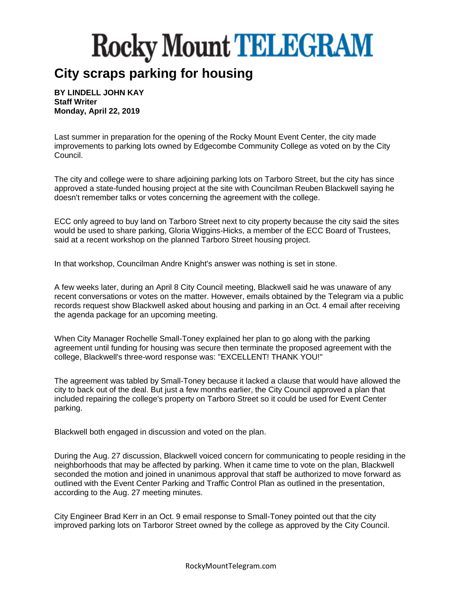#### **City scraps parking for housing**

**BY LINDELL JOHN KAY Staff Writer Monday, April 22, 2019**

Last summer in preparation for the opening of the Rocky Mount Event Center, the city made improvements to parking lots owned by Edgecombe Community College as voted on by the City Council.

The city and college were to share adjoining parking lots on Tarboro Street, but the city has since approved a state-funded housing project at the site with Councilman Reuben Blackwell saying he doesn't remember talks or votes concerning the agreement with the college.

ECC only agreed to buy land on Tarboro Street next to city property because the city said the sites would be used to share parking, Gloria Wiggins-Hicks, a member of the ECC Board of Trustees, said at a recent workshop on the planned Tarboro Street housing project.

In that workshop, Councilman Andre Knight's answer was nothing is set in stone.

A few weeks later, during an April 8 City Council meeting, Blackwell said he was unaware of any recent conversations or votes on the matter. However, emails obtained by the Telegram via a public records request show Blackwell asked about housing and parking in an Oct. 4 email after receiving the agenda package for an upcoming meeting.

When City Manager Rochelle Small-Toney explained her plan to go along with the parking agreement until funding for housing was secure then terminate the proposed agreement with the college, Blackwell's three-word response was: "EXCELLENT! THANK YOU!"

The agreement was tabled by Small-Toney because it lacked a clause that would have allowed the city to back out of the deal. But just a few months earlier, the City Council approved a plan that included repairing the college's property on Tarboro Street so it could be used for Event Center parking.

Blackwell both engaged in discussion and voted on the plan.

During the Aug. 27 discussion, Blackwell voiced concern for communicating to people residing in the neighborhoods that may be affected by parking. When it came time to vote on the plan, Blackwell seconded the motion and joined in unanimous approval that staff be authorized to move forward as outlined with the Event Center Parking and Traffic Control Plan as outlined in the presentation, according to the Aug. 27 meeting minutes.

City Engineer Brad Kerr in an Oct. 9 email response to Small-Toney pointed out that the city improved parking lots on Tarboror Street owned by the college as approved by the City Council.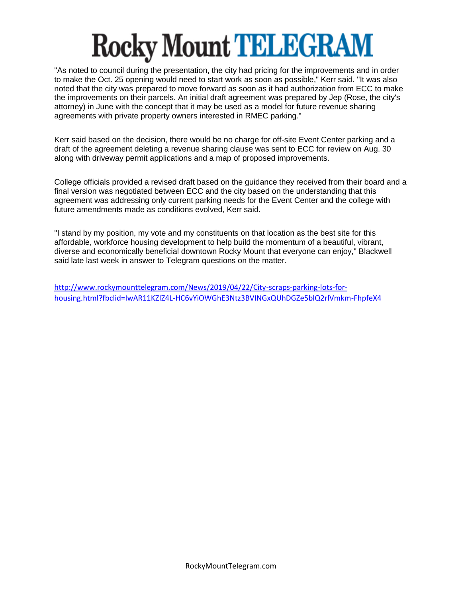"As noted to council during the presentation, the city had pricing for the improvements and in order to make the Oct. 25 opening would need to start work as soon as possible," Kerr said. "It was also noted that the city was prepared to move forward as soon as it had authorization from ECC to make the improvements on their parcels. An initial draft agreement was prepared by Jep (Rose, the city's attorney) in June with the concept that it may be used as a model for future revenue sharing agreements with private property owners interested in RMEC parking."

Kerr said based on the decision, there would be no charge for off-site Event Center parking and a draft of the agreement deleting a revenue sharing clause was sent to ECC for review on Aug. 30 along with driveway permit applications and a map of proposed improvements.

College officials provided a revised draft based on the guidance they received from their board and a final version was negotiated between ECC and the city based on the understanding that this agreement was addressing only current parking needs for the Event Center and the college with future amendments made as conditions evolved, Kerr said.

"I stand by my position, my vote and my constituents on that location as the best site for this affordable, workforce housing development to help build the momentum of a beautiful, vibrant, diverse and economically beneficial downtown Rocky Mount that everyone can enjoy," Blackwell said late last week in answer to Telegram questions on the matter.

[http://www.rockymounttelegram.com/News/2019/04/22/City-scraps-parking-lots-for](http://www.rockymounttelegram.com/News/2019/04/22/City-scraps-parking-lots-for-housing.html?fbclid=IwAR11KZIZ4L-HC6vYiOWGhE3Ntz3BVINGxQUhDGZe5blQ2rlVmkm-FhpfeX4)[housing.html?fbclid=IwAR11KZIZ4L-HC6vYiOWGhE3Ntz3BVINGxQUhDGZe5blQ2rlVmkm-FhpfeX4](http://www.rockymounttelegram.com/News/2019/04/22/City-scraps-parking-lots-for-housing.html?fbclid=IwAR11KZIZ4L-HC6vYiOWGhE3Ntz3BVINGxQUhDGZe5blQ2rlVmkm-FhpfeX4)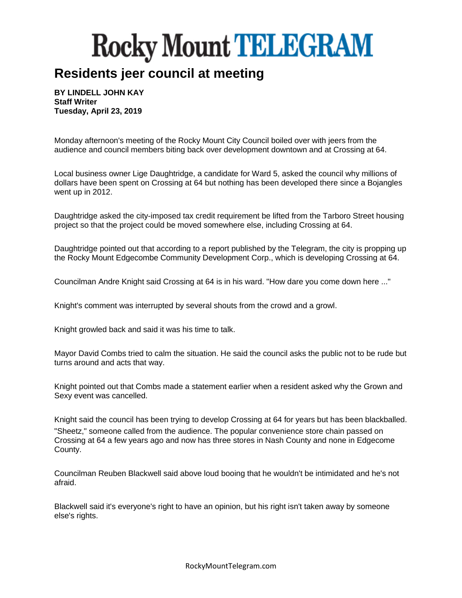#### **Residents jeer council at meeting**

**BY LINDELL JOHN KAY Staff Writer Tuesday, April 23, 2019**

Monday afternoon's meeting of the Rocky Mount City Council boiled over with jeers from the audience and council members biting back over development downtown and at Crossing at 64.

Local business owner Lige Daughtridge, a candidate for Ward 5, asked the council why millions of dollars have been spent on Crossing at 64 but nothing has been developed there since a Bojangles went up in 2012.

Daughtridge asked the city-imposed tax credit requirement be lifted from the Tarboro Street housing project so that the project could be moved somewhere else, including Crossing at 64.

Daughtridge pointed out that according to a report published by the Telegram, the city is propping up the Rocky Mount Edgecombe Community Development Corp., which is developing Crossing at 64.

Councilman Andre Knight said Crossing at 64 is in his ward. "How dare you come down here ..."

Knight's comment was interrupted by several shouts from the crowd and a growl.

Knight growled back and said it was his time to talk.

Mayor David Combs tried to calm the situation. He said the council asks the public not to be rude but turns around and acts that way.

Knight pointed out that Combs made a statement earlier when a resident asked why the Grown and Sexy event was cancelled.

Knight said the council has been trying to develop Crossing at 64 for years but has been blackballed. "Sheetz," someone called from the audience. The popular convenience store chain passed on Crossing at 64 a few years ago and now has three stores in Nash County and none in Edgecome County.

Councilman Reuben Blackwell said above loud booing that he wouldn't be intimidated and he's not afraid.

Blackwell said it's everyone's right to have an opinion, but his right isn't taken away by someone else's rights.

RockyMountTelegram.com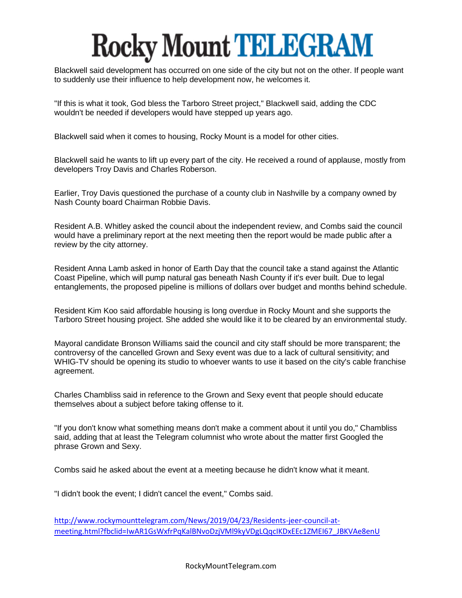Blackwell said development has occurred on one side of the city but not on the other. If people want to suddenly use their influence to help development now, he welcomes it.

"If this is what it took, God bless the Tarboro Street project," Blackwell said, adding the CDC wouldn't be needed if developers would have stepped up years ago.

Blackwell said when it comes to housing, Rocky Mount is a model for other cities.

Blackwell said he wants to lift up every part of the city. He received a round of applause, mostly from developers Troy Davis and Charles Roberson.

Earlier, Troy Davis questioned the purchase of a county club in Nashville by a company owned by Nash County board Chairman Robbie Davis.

Resident A.B. Whitley asked the council about the independent review, and Combs said the council would have a preliminary report at the next meeting then the report would be made public after a review by the city attorney.

Resident Anna Lamb asked in honor of Earth Day that the council take a stand against the Atlantic Coast Pipeline, which will pump natural gas beneath Nash County if it's ever built. Due to legal entanglements, the proposed pipeline is millions of dollars over budget and months behind schedule.

Resident Kim Koo said affordable housing is long overdue in Rocky Mount and she supports the Tarboro Street housing project. She added she would like it to be cleared by an environmental study.

Mayoral candidate Bronson Williams said the council and city staff should be more transparent; the controversy of the cancelled Grown and Sexy event was due to a lack of cultural sensitivity; and WHIG-TV should be opening its studio to whoever wants to use it based on the city's cable franchise agreement.

Charles Chambliss said in reference to the Grown and Sexy event that people should educate themselves about a subject before taking offense to it.

"If you don't know what something means don't make a comment about it until you do," Chambliss said, adding that at least the Telegram columnist who wrote about the matter first Googled the phrase Grown and Sexy.

Combs said he asked about the event at a meeting because he didn't know what it meant.

"I didn't book the event; I didn't cancel the event," Combs said.

[http://www.rockymounttelegram.com/News/2019/04/23/Residents-jeer-council-at](http://www.rockymounttelegram.com/News/2019/04/23/Residents-jeer-council-at-meeting.html?fbclid=IwAR1GsWxfrPqKalBNvoDzjVMl9kyVDgLQqcIKDxEEc1ZMEI67_JBKVAe8enU)[meeting.html?fbclid=IwAR1GsWxfrPqKalBNvoDzjVMl9kyVDgLQqcIKDxEEc1ZMEI67\\_JBKVAe8enU](http://www.rockymounttelegram.com/News/2019/04/23/Residents-jeer-council-at-meeting.html?fbclid=IwAR1GsWxfrPqKalBNvoDzjVMl9kyVDgLQqcIKDxEEc1ZMEI67_JBKVAe8enU)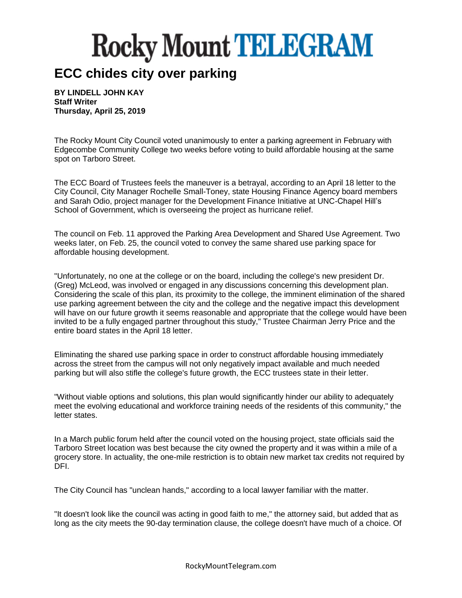#### **ECC chides city over parking**

**BY LINDELL JOHN KAY Staff Writer Thursday, April 25, 2019**

The Rocky Mount City Council voted unanimously to enter a parking agreement in February with Edgecombe Community College two weeks before voting to build affordable housing at the same spot on Tarboro Street.

The ECC Board of Trustees feels the maneuver is a betrayal, according to an April 18 letter to the City Council, City Manager Rochelle Small-Toney, state Housing Finance Agency board members and Sarah Odio, project manager for the Development Finance Initiative at UNC-Chapel Hill's School of Government, which is overseeing the project as hurricane relief.

The council on Feb. 11 approved the Parking Area Development and Shared Use Agreement. Two weeks later, on Feb. 25, the council voted to convey the same shared use parking space for affordable housing development.

"Unfortunately, no one at the college or on the board, including the college's new president Dr. (Greg) McLeod, was involved or engaged in any discussions concerning this development plan. Considering the scale of this plan, its proximity to the college, the imminent elimination of the shared use parking agreement between the city and the college and the negative impact this development will have on our future growth it seems reasonable and appropriate that the college would have been invited to be a fully engaged partner throughout this study," Trustee Chairman Jerry Price and the entire board states in the April 18 letter.

Eliminating the shared use parking space in order to construct affordable housing immediately across the street from the campus will not only negatively impact available and much needed parking but will also stifle the college's future growth, the ECC trustees state in their letter.

"Without viable options and solutions, this plan would significantly hinder our ability to adequately meet the evolving educational and workforce training needs of the residents of this community," the letter states.

In a March public forum held after the council voted on the housing project, state officials said the Tarboro Street location was best because the city owned the property and it was within a mile of a grocery store. In actuality, the one-mile restriction is to obtain new market tax credits not required by DFI.

The City Council has "unclean hands," according to a local lawyer familiar with the matter.

"It doesn't look like the council was acting in good faith to me," the attorney said, but added that as long as the city meets the 90-day termination clause, the college doesn't have much of a choice. Of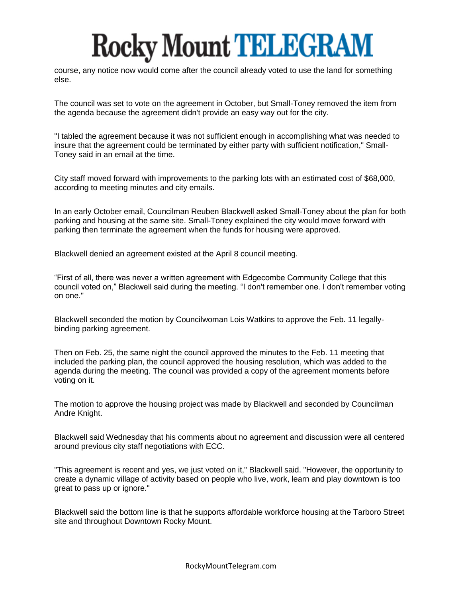course, any notice now would come after the council already voted to use the land for something else.

The council was set to vote on the agreement in October, but Small-Toney removed the item from the agenda because the agreement didn't provide an easy way out for the city.

"I tabled the agreement because it was not sufficient enough in accomplishing what was needed to insure that the agreement could be terminated by either party with sufficient notification," Small-Toney said in an email at the time.

City staff moved forward with improvements to the parking lots with an estimated cost of \$68,000, according to meeting minutes and city emails.

In an early October email, Councilman Reuben Blackwell asked Small-Toney about the plan for both parking and housing at the same site. Small-Toney explained the city would move forward with parking then terminate the agreement when the funds for housing were approved.

Blackwell denied an agreement existed at the April 8 council meeting.

"First of all, there was never a written agreement with Edgecombe Community College that this council voted on," Blackwell said during the meeting. "I don't remember one. I don't remember voting on one."

Blackwell seconded the motion by Councilwoman Lois Watkins to approve the Feb. 11 legallybinding parking agreement.

Then on Feb. 25, the same night the council approved the minutes to the Feb. 11 meeting that included the parking plan, the council approved the housing resolution, which was added to the agenda during the meeting. The council was provided a copy of the agreement moments before voting on it.

The motion to approve the housing project was made by Blackwell and seconded by Councilman Andre Knight.

Blackwell said Wednesday that his comments about no agreement and discussion were all centered around previous city staff negotiations with ECC.

"This agreement is recent and yes, we just voted on it," Blackwell said. "However, the opportunity to create a dynamic village of activity based on people who live, work, learn and play downtown is too great to pass up or ignore."

Blackwell said the bottom line is that he supports affordable workforce housing at the Tarboro Street site and throughout Downtown Rocky Mount.